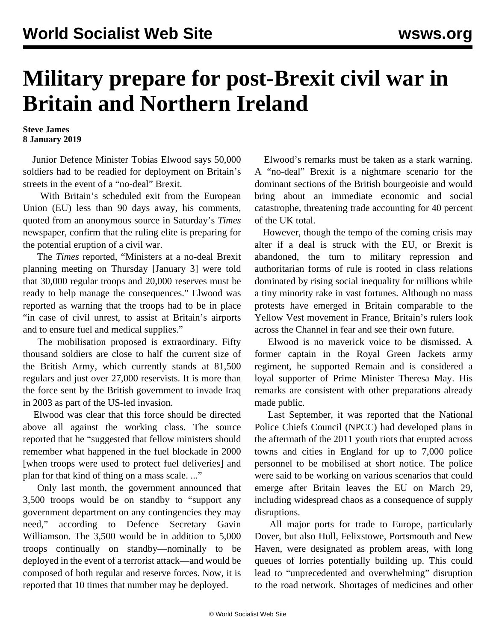## **Military prepare for post-Brexit civil war in Britain and Northern Ireland**

**Steve James 8 January 2019**

 Junior Defence Minister Tobias Elwood says 50,000 soldiers had to be readied for deployment on Britain's streets in the event of a "no-deal" Brexit.

 With Britain's scheduled exit from the European Union (EU) less than 90 days away, his comments, quoted from an anonymous source in Saturday's *Times* newspaper, confirm that the ruling elite is preparing for the potential eruption of a civil war.

 The *Times* reported, "Ministers at a no-deal Brexit planning meeting on Thursday [January 3] were told that 30,000 regular troops and 20,000 reserves must be ready to help manage the consequences." Elwood was reported as warning that the troops had to be in place "in case of civil unrest, to assist at Britain's airports and to ensure fuel and medical supplies."

 The mobilisation proposed is extraordinary. Fifty thousand soldiers are close to half the current size of the British Army, which currently stands at 81,500 regulars and just over 27,000 reservists. It is more than the force sent by the British government to invade Iraq in 2003 as part of the US-led invasion.

 Elwood was clear that this force should be directed above all against the working class. The source reported that he "suggested that fellow ministers should remember what happened in the fuel blockade in 2000 [when troops were used to protect fuel deliveries] and plan for that kind of thing on a mass scale. ..."

 Only last month, the government announced that 3,500 troops would be on standby to "support any government department on any contingencies they may need," according to Defence Secretary Gavin Williamson. The 3,500 would be in addition to 5,000 troops continually on standby—nominally to be deployed in the event of a terrorist attack—and would be composed of both regular and reserve forces. Now, it is reported that 10 times that number may be deployed.

 Elwood's remarks must be taken as a stark warning. A "no-deal" Brexit is a nightmare scenario for the dominant sections of the British bourgeoisie and would bring about an immediate economic and social catastrophe, threatening trade accounting for 40 percent of the UK total.

 However, though the tempo of the coming crisis may alter if a deal is struck with the EU, or Brexit is abandoned, the turn to military repression and authoritarian forms of rule is rooted in class relations dominated by rising social inequality for millions while a tiny minority rake in vast fortunes. Although no mass protests have emerged in Britain comparable to the Yellow Vest movement in France, Britain's rulers look across the Channel in fear and see their own future.

 Elwood is no maverick voice to be dismissed. A former captain in the Royal Green Jackets army regiment, he supported Remain and is considered a loyal supporter of Prime Minister Theresa May. His remarks are consistent with other preparations already made public.

 Last September, it was reported that the National Police Chiefs Council (NPCC) had developed plans in the aftermath of the 2011 youth riots that erupted across towns and cities in England for up to 7,000 police personnel to be mobilised at short notice. The police were said to be working on various scenarios that could emerge after Britain leaves the EU on March 29, including widespread chaos as a consequence of supply disruptions.

 All major ports for trade to Europe, particularly Dover, but also Hull, Felixstowe, Portsmouth and New Haven, were designated as problem areas, with long queues of lorries potentially building up. This could lead to "unprecedented and overwhelming" disruption to the road network. Shortages of medicines and other